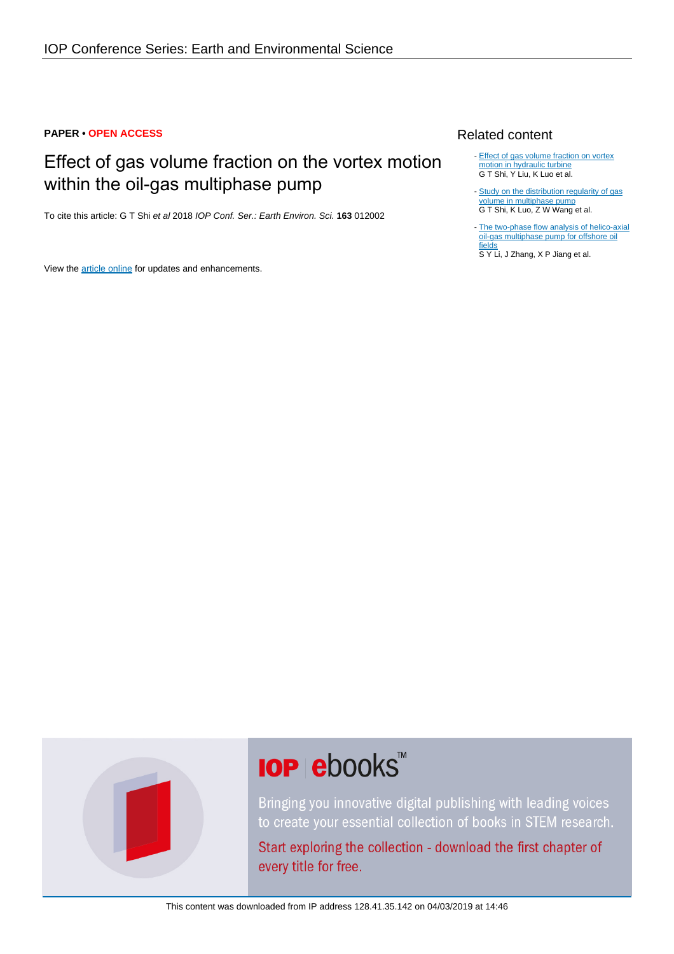#### **PAPER • OPEN ACCESS**

# Effect of gas volume fraction on the vortex motion within the oil-gas multiphase pump

To cite this article: G T Shi et al 2018 IOP Conf. Ser.: Earth Environ. Sci. **163** 012002

View the [article online](https://doi.org/10.1088/1755-1315/163/1/012002) for updates and enhancements.

#### Related content

- [Effect of gas volume fraction on vortex](http://iopscience.iop.org/article/10.1088/1755-1315/163/1/012117) [motion in hydraulic turbine](http://iopscience.iop.org/article/10.1088/1755-1315/163/1/012117) G T Shi, Y Liu, K Luo et al.
- [Study on the distribution regularity of gas](http://iopscience.iop.org/article/10.1088/1755-1315/163/1/012001) [volume in multiphase pump](http://iopscience.iop.org/article/10.1088/1755-1315/163/1/012001) G T Shi, K Luo, Z W Wang et al.
- [The two-phase flow analysis of helico-axial](http://iopscience.iop.org/article/10.1088/1755-1315/163/1/012015) [oil-gas multiphase pump for offshore oil](http://iopscience.iop.org/article/10.1088/1755-1315/163/1/012015) [fields](http://iopscience.iop.org/article/10.1088/1755-1315/163/1/012015)
	- S Y Li, J Zhang, X P Jiang et al.



# **IOP ebooks**™

Bringing you innovative digital publishing with leading voices to create your essential collection of books in STEM research.

Start exploring the collection - download the first chapter of every title for free.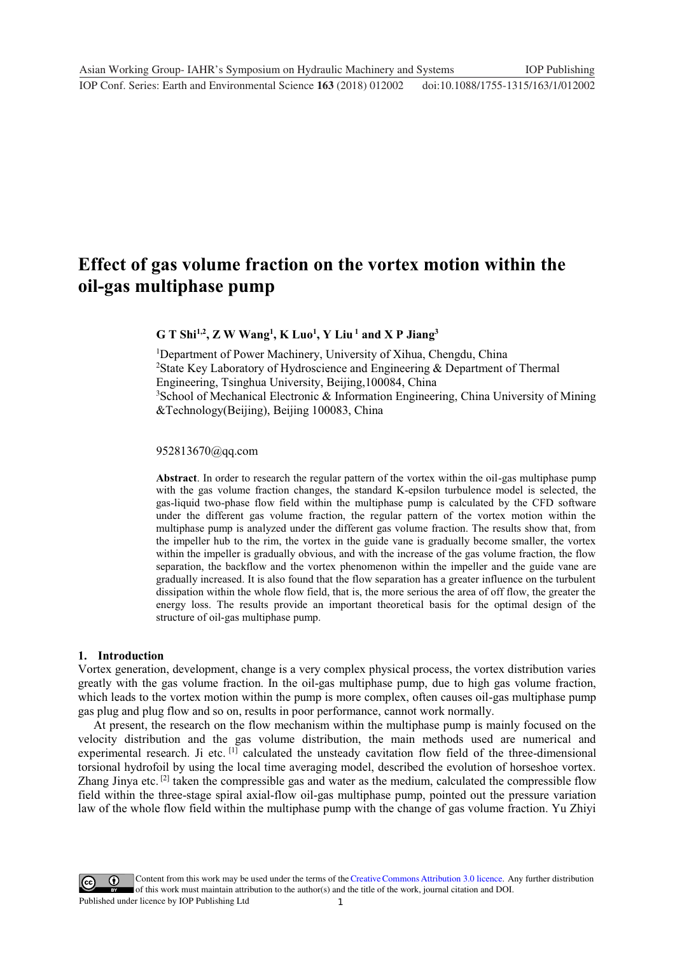# **Effect of gas volume fraction on the vortex motion within the oil-gas multiphase pump**

**G T Shi1,2, Z W Wang1 , K Luo1 , Y Liu 1 and X P Jiang3**

<sup>1</sup>Department of Power Machinery, University of Xihua, Chengdu, China <sup>2</sup>State Key Laboratory of Hydroscience and Engineering & Department of Thermal Engineering, Tsinghua University, Beijing,100084, China <sup>3</sup>School of Mechanical Electronic & Information Engineering, China University of Mining &Technology(Beijing), Beijing 100083, China

#### 952813670@qq.com

**Abstract**. In order to research the regular pattern of the vortex within the oil-gas multiphase pump with the gas volume fraction changes, the standard K-epsilon turbulence model is selected, the gas-liquid two-phase flow field within the multiphase pump is calculated by the CFD software under the different gas volume fraction, the regular pattern of the vortex motion within the multiphase pump is analyzed under the different gas volume fraction. The results show that, from the impeller hub to the rim, the vortex in the guide vane is gradually become smaller, the vortex within the impeller is gradually obvious, and with the increase of the gas volume fraction, the flow separation, the backflow and the vortex phenomenon within the impeller and the guide vane are gradually increased. It is also found that the flow separation has a greater influence on the turbulent dissipation within the whole flow field, that is, the more serious the area of off flow, the greater the energy loss. The results provide an important theoretical basis for the optimal design of the structure of oil-gas multiphase pump.

#### **1. Introduction**

Vortex generation, development, change is a very complex physical process, the vortex distribution varies greatly with the gas volume fraction. In the oil-gas multiphase pump, due to high gas volume fraction, which leads to the vortex motion within the pump is more complex, often causes oil-gas multiphase pump gas plug and plug flow and so on, results in poor performance, cannot work normally.

At present, the research on the flow mechanism within the multiphase pump is mainly focused on the velocity distribution and the gas volume distribution, the main methods used are numerical and experimental research. Ji etc.  $\left[1\right]$  calculated the unsteady cavitation flow field of the three-dimensional torsional hydrofoil by using the local time averaging model, described the evolution of horseshoe vortex. Zhang Jinya etc. [2] taken the compressible gas and water as the medium, calculated the compressible flow field within the three-stage spiral axial-flow oil-gas multiphase pump, pointed out the pressure variation law of the whole flow field within the multiphase pump with the change of gas volume fraction. Yu Zhiyi

1 Content from this work may be used under the terms of the[Creative Commons Attribution 3.0 licence.](http://creativecommons.org/licenses/by/3.0) Any further distribution of this work must maintain attribution to the author(s) and the title of the work, journal citation and DOI. Published under licence by IOP Publishing Ltd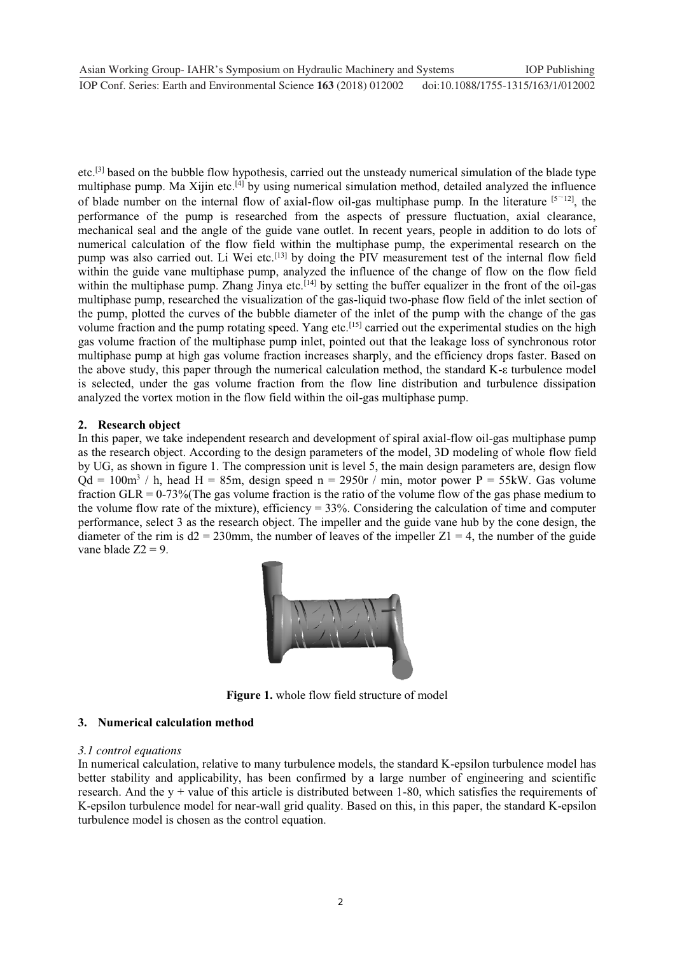etc.[3] based on the bubble flow hypothesis, carried out the unsteady numerical simulation of the blade type multiphase pump. Ma Xijin etc.<sup>[4]</sup> by using numerical simulation method, detailed analyzed the influence of blade number on the internal flow of axial-flow oil-gas multiphase pump. In the literature  $[5 \text{--}12]$ , the performance of the pump is researched from the aspects of pressure fluctuation, axial clearance, mechanical seal and the angle of the guide vane outlet. In recent years, people in addition to do lots of numerical calculation of the flow field within the multiphase pump, the experimental research on the pump was also carried out. Li Wei etc.<sup>[13]</sup> by doing the PIV measurement test of the internal flow field within the guide vane multiphase pump, analyzed the influence of the change of flow on the flow field within the multiphase pump. Zhang Jinya etc.<sup>[14]</sup> by setting the buffer equalizer in the front of the oil-gas multiphase pump, researched the visualization of the gas-liquid two-phase flow field of the inlet section of the pump, plotted the curves of the bubble diameter of the inlet of the pump with the change of the gas volume fraction and the pump rotating speed. Yang etc.<sup>[15]</sup> carried out the experimental studies on the high gas volume fraction of the multiphase pump inlet, pointed out that the leakage loss of synchronous rotor multiphase pump at high gas volume fraction increases sharply, and the efficiency drops faster. Based on the above study, this paper through the numerical calculation method, the standard K-ε turbulence model is selected, under the gas volume fraction from the flow line distribution and turbulence dissipation analyzed the vortex motion in the flow field within the oil-gas multiphase pump.

#### **2. Research object**

In this paper, we take independent research and development of spiral axial-flow oil-gas multiphase pump as the research object. According to the design parameters of the model, 3D modeling of whole flow field by UG, as shown in figure 1. The compression unit is level 5, the main design parameters are, design flow  $Qd = 100m<sup>3</sup>$  / h, head H = 85m, design speed n = 2950r / min, motor power P = 55kW. Gas volume fraction GLR =  $0-73\%$  (The gas volume fraction is the ratio of the volume flow of the gas phase medium to the volume flow rate of the mixture), efficiency  $= 33\%$ . Considering the calculation of time and computer performance, select 3 as the research object. The impeller and the guide vane hub by the cone design, the diameter of the rim is  $d2 = 230$ mm, the number of leaves of the impeller  $Z_1 = 4$ , the number of the guide vane blade  $Z2 = 9$ .



**Figure 1.** whole flow field structure of model

#### **3. Numerical calculation method**

#### *3.1 control equations*

In numerical calculation, relative to many turbulence models, the standard K-epsilon turbulence model has better stability and applicability, has been confirmed by a large number of engineering and scientific research. And the y + value of this article is distributed between 1-80, which satisfies the requirements of K-epsilon turbulence model for near-wall grid quality. Based on this, in this paper, the standard K-epsilon turbulence model is chosen as the control equation.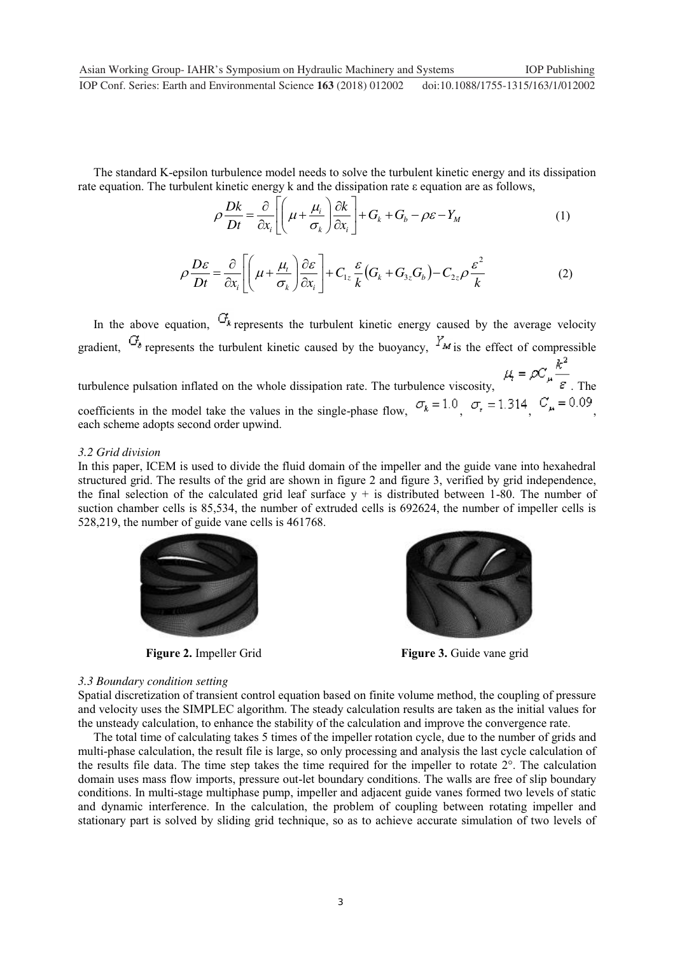The standard K-epsilon turbulence model needs to solve the turbulent kinetic energy and its dissipation rate equation. The turbulent kinetic energy k and the dissipation rate ε equation are as follows,

$$
\rho \frac{Dk}{Dt} = \frac{\partial}{\partial x_i} \left[ \left( \mu + \frac{\mu_i}{\sigma_k} \right) \frac{\partial k}{\partial x_i} \right] + G_k + G_b - \rho \varepsilon - Y_M \tag{1}
$$

$$
\rho \frac{D\varepsilon}{Dt} = \frac{\partial}{\partial x_i} \left[ \left( \mu + \frac{\mu_t}{\sigma_k} \right) \frac{\partial \varepsilon}{\partial x_i} \right] + C_{1z} \frac{\varepsilon}{k} \left( G_k + G_{3z} G_b \right) - C_{2z} \rho \frac{\varepsilon^2}{k}
$$
(2)

In the above equation,  $G_k$  represents the turbulent kinetic energy caused by the average velocity gradient,  $\forall \delta$  represents the turbulent kinetic caused by the buoyancy,  $\exists M$  is the effect of compressible turbulence pulsation inflated on the whole dissipation rate. The turbulence viscosity,  $\mu_t = \rho C_\mu \frac{k^2}{\varepsilon}$ . The coefficients in the model take the values in the single-phase flow,  $\sigma_k = 1.0$ ,  $\sigma_r = 1.314$ ,  $C_{\mu} = 0.09$ , each scheme adopts second order upwind.

#### *3.2 Grid division*

In this paper, ICEM is used to divide the fluid domain of the impeller and the guide vane into hexahedral structured grid. The results of the grid are shown in figure 2 and figure 3, verified by grid independence, the final selection of the calculated grid leaf surface  $y +$  is distributed between 1-80. The number of suction chamber cells is 85,534, the number of extruded cells is 692624, the number of impeller cells is 528,219, the number of guide vane cells is 461768.





**Figure 2.** Impeller Grid **Figure 3.** Guide vane grid

#### *3.3 Boundary condition setting*

Spatial discretization of transient control equation based on finite volume method, the coupling of pressure and velocity uses the SIMPLEC algorithm. The steady calculation results are taken as the initial values for the unsteady calculation, to enhance the stability of the calculation and improve the convergence rate.

The total time of calculating takes 5 times of the impeller rotation cycle, due to the number of grids and multi-phase calculation, the result file is large, so only processing and analysis the last cycle calculation of the results file data. The time step takes the time required for the impeller to rotate 2°. The calculation domain uses mass flow imports, pressure out-let boundary conditions. The walls are free of slip boundary conditions. In multi-stage multiphase pump, impeller and adjacent guide vanes formed two levels of static and dynamic interference. In the calculation, the problem of coupling between rotating impeller and stationary part is solved by sliding grid technique, so as to achieve accurate simulation of two levels of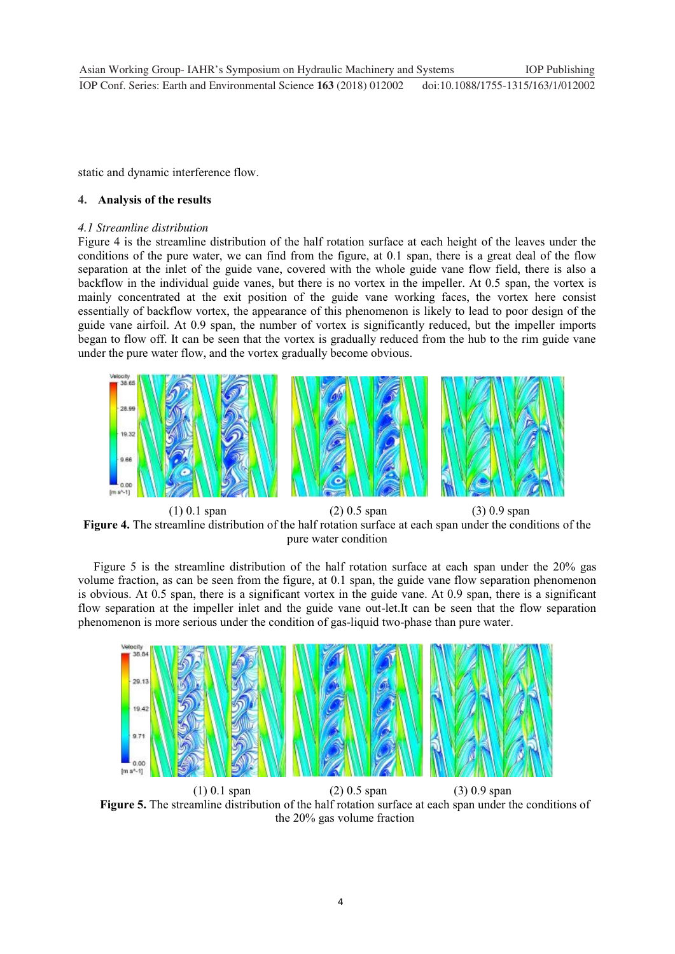static and dynamic interference flow.

#### **4. Analysis of the results**

#### *4.1 Streamline distribution*

Figure 4 is the streamline distribution of the half rotation surface at each height of the leaves under the conditions of the pure water, we can find from the figure, at 0.1 span, there is a great deal of the flow separation at the inlet of the guide vane, covered with the whole guide vane flow field, there is also a backflow in the individual guide vanes, but there is no vortex in the impeller. At 0.5 span, the vortex is mainly concentrated at the exit position of the guide vane working faces, the vortex here consist essentially of backflow vortex, the appearance of this phenomenon is likely to lead to poor design of the guide vane airfoil. At 0.9 span, the number of vortex is significantly reduced, but the impeller imports began to flow off. It can be seen that the vortex is gradually reduced from the hub to the rim guide vane under the pure water flow, and the vortex gradually become obvious.



 (1) 0.1 span (2) 0.5 span (3) 0.9 span **Figure 4.** The streamline distribution of the half rotation surface at each span under the conditions of the pure water condition

Figure 5 is the streamline distribution of the half rotation surface at each span under the 20% gas volume fraction, as can be seen from the figure, at 0.1 span, the guide vane flow separation phenomenon is obvious. At 0.5 span, there is a significant vortex in the guide vane. At 0.9 span, there is a significant flow separation at the impeller inlet and the guide vane out-let.It can be seen that the flow separation phenomenon is more serious under the condition of gas-liquid two-phase than pure water.



 (1) 0.1 span (2) 0.5 span (3) 0.9 span **Figure 5.** The streamline distribution of the half rotation surface at each span under the conditions of the 20% gas volume fraction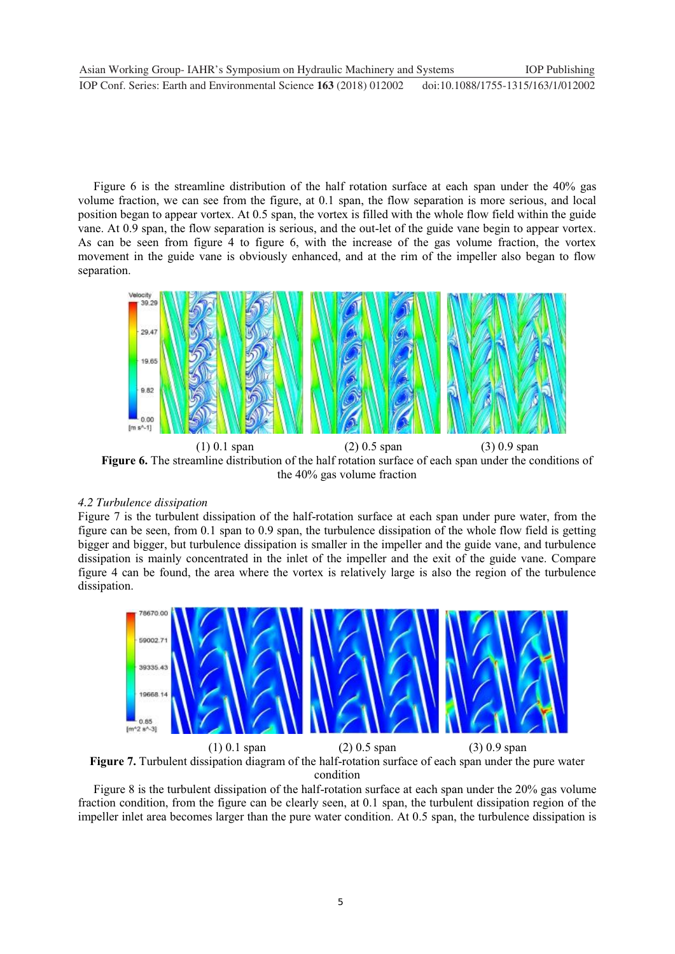Figure 6 is the streamline distribution of the half rotation surface at each span under the 40% gas volume fraction, we can see from the figure, at 0.1 span, the flow separation is more serious, and local position began to appear vortex. At 0.5 span, the vortex is filled with the whole flow field within the guide vane. At 0.9 span, the flow separation is serious, and the out-let of the guide vane begin to appear vortex. As can be seen from figure 4 to figure 6, with the increase of the gas volume fraction, the vortex movement in the guide vane is obviously enhanced, and at the rim of the impeller also began to flow separation.



 (1) 0.1 span (2) 0.5 span (3) 0.9 span **Figure 6.** The streamline distribution of the half rotation surface of each span under the conditions of the 40% gas volume fraction

### *4.2 Turbulence dissipation*

Figure 7 is the turbulent dissipation of the half-rotation surface at each span under pure water, from the figure can be seen, from 0.1 span to 0.9 span, the turbulence dissipation of the whole flow field is getting bigger and bigger, but turbulence dissipation is smaller in the impeller and the guide vane, and turbulence dissipation is mainly concentrated in the inlet of the impeller and the exit of the guide vane. Compare figure 4 can be found, the area where the vortex is relatively large is also the region of the turbulence dissipation.



condition

Figure 8 is the turbulent dissipation of the half-rotation surface at each span under the 20% gas volume fraction condition, from the figure can be clearly seen, at 0.1 span, the turbulent dissipation region of the impeller inlet area becomes larger than the pure water condition. At 0.5 span, the turbulence dissipation is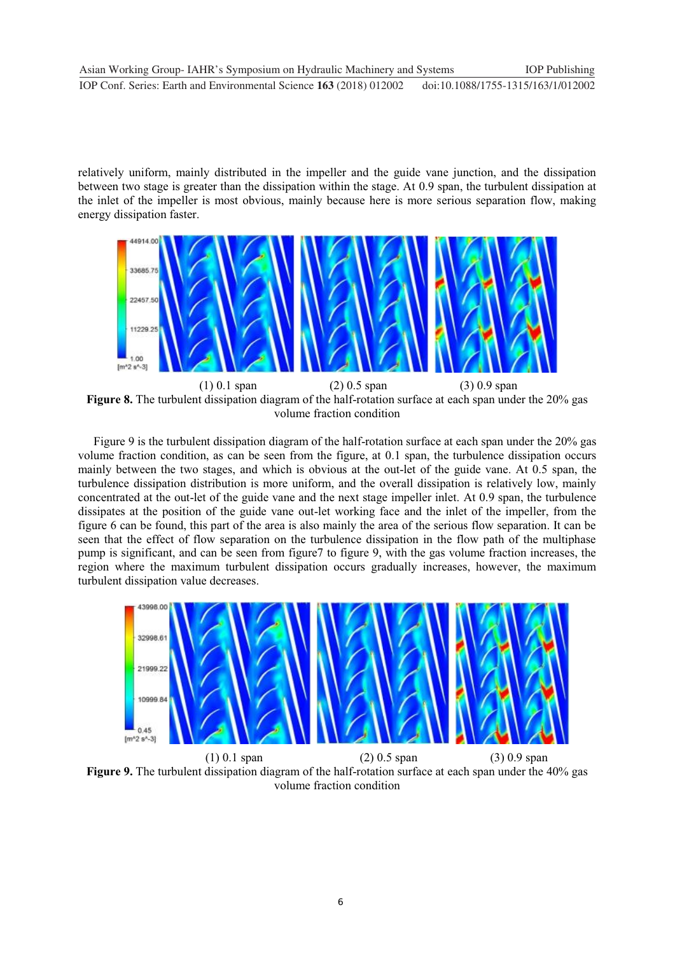relatively uniform, mainly distributed in the impeller and the guide vane junction, and the dissipation between two stage is greater than the dissipation within the stage. At 0.9 span, the turbulent dissipation at the inlet of the impeller is most obvious, mainly because here is more serious separation flow, making energy dissipation faster.



 (1) 0.1 span (2) 0.5 span (3) 0.9 span **Figure 8.** The turbulent dissipation diagram of the half-rotation surface at each span under the 20% gas volume fraction condition

Figure 9 is the turbulent dissipation diagram of the half-rotation surface at each span under the 20% gas volume fraction condition, as can be seen from the figure, at 0.1 span, the turbulence dissipation occurs mainly between the two stages, and which is obvious at the out-let of the guide vane. At 0.5 span, the turbulence dissipation distribution is more uniform, and the overall dissipation is relatively low, mainly concentrated at the out-let of the guide vane and the next stage impeller inlet. At 0.9 span, the turbulence dissipates at the position of the guide vane out-let working face and the inlet of the impeller, from the figure 6 can be found, this part of the area is also mainly the area of the serious flow separation. It can be seen that the effect of flow separation on the turbulence dissipation in the flow path of the multiphase pump is significant, and can be seen from figure7 to figure 9, with the gas volume fraction increases, the region where the maximum turbulent dissipation occurs gradually increases, however, the maximum turbulent dissipation value decreases.



**Figure 9.** The turbulent dissipation diagram of the half-rotation surface at each span under the 40% gas volume fraction condition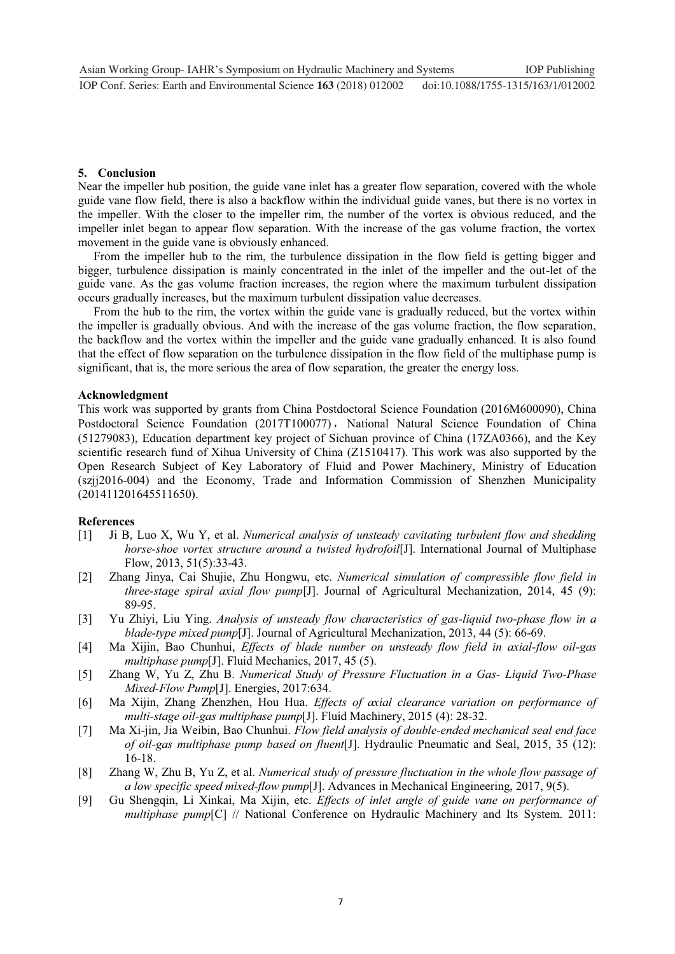**5. Conclusion**<br>Near the impeller hub position, the guide vane inlet has a greater flow separation, covered with the whole guide vane flow field, there is also a backflow within the individual guide vanes, but there is no vortex in the impeller. With the closer to the impeller rim, the number of the vortex is obvious reduced, and the impeller inlet began to appear flow separation. With the increase of the gas volume fraction, the vortex movement in the guide vane is obviously enhanced.

From the impeller hub to the rim, the turbulence dissipation in the flow field is getting bigger and bigger, turbulence dissipation is mainly concentrated in the inlet of the impeller and the out-let of the guide vane. As the gas volume fraction increases, the region where the maximum turbulent dissipation occurs gradually increases, but the maximum turbulent dissipation value decreases.

From the hub to the rim, the vortex within the guide vane is gradually reduced, but the vortex within the impeller is gradually obvious. And with the increase of the gas volume fraction, the flow separation, the backflow and the vortex within the impeller and the guide vane gradually enhanced. It is also found that the effect of flow separation on the turbulence dissipation in the flow field of the multiphase pump is significant, that is, the more serious the area of flow separation, the greater the energy loss.

#### **Acknowledgment**

This work was supported by grants from China Postdoctoral Science Foundation (2016M600090), China Postdoctoral Science Foundation (2017T100077), National Natural Science Foundation of China (51279083), Education department key project of Sichuan province of China (17ZA0366), and the Key scientific research fund of Xihua University of China (Z1510417). This work was also supported by the Open Research Subject of Key Laboratory of Fluid and Power Machinery, Ministry of Education (szjj2016-004) and the Economy, Trade and Information Commission of Shenzhen Municipality (201411201645511650).

#### **References**

- [1] Ji B, Luo X, Wu Y, et al. *Numerical analysis of unsteady cavitating turbulent flow and shedding horse-shoe vortex structure around a twisted hydrofoil*[J]. International Journal of Multiphase Flow, 2013, 51(5):33-43.
- [2] Zhang Jinya, Cai Shujie, Zhu Hongwu, etc. *Numerical simulation of compressible flow field in three-stage spiral axial flow pump*[J]. Journal of Agricultural Mechanization, 2014, 45 (9): 89-95.
- [3] Yu Zhiyi, Liu Ying. *Analysis of unsteady flow characteristics of gas-liquid two-phase flow in a blade-type mixed pump*[J]. Journal of Agricultural Mechanization, 2013, 44 (5): 66-69.
- [4] Ma Xijin, Bao Chunhui, *Effects of blade number on unsteady flow field in axial-flow oil-gas multiphase pump*[J]. Fluid Mechanics, 2017, 45 (5).
- [5] Zhang W, Yu Z, Zhu B. *Numerical Study of Pressure Fluctuation in a Gas- Liquid Two-Phase Mixed-Flow Pump*[J]. Energies, 2017:634.
- [6] Ma Xijin, Zhang Zhenzhen, Hou Hua. *Effects of axial clearance variation on performance of multi-stage oil-gas multiphase pump*[J]. Fluid Machinery, 2015 (4): 28-32.
- [7] Ma Xi-jin, Jia Weibin, Bao Chunhui. *Flow field analysis of double-ended mechanical seal end face of oil-gas multiphase pump based on fluent*[J]. Hydraulic Pneumatic and Seal, 2015, 35 (12): 16-18.
- [8] Zhang W, Zhu B, Yu Z, et al. *Numerical study of pressure fluctuation in the whole flow passage of a low specific speed mixed-flow pump*[J]. Advances in Mechanical Engineering, 2017, 9(5).
- [9] Gu Shengqin, Li Xinkai, Ma Xijin, etc. *Effects of inlet angle of guide vane on performance of multiphase pump*[C] // National Conference on Hydraulic Machinery and Its System. 2011: